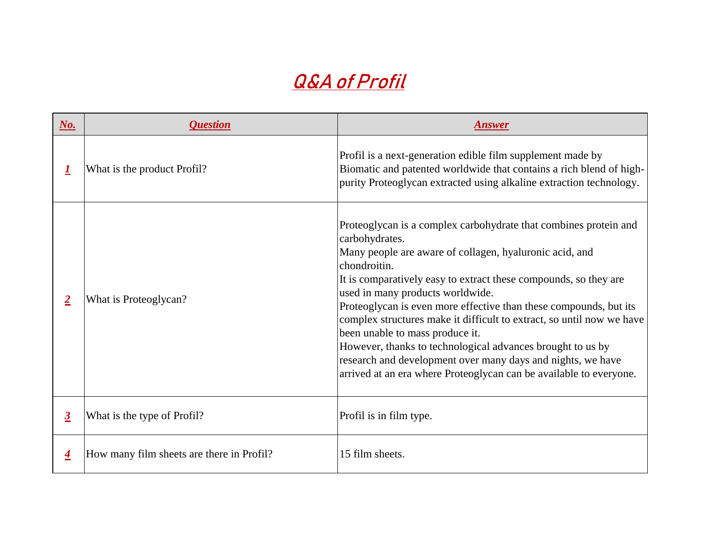| $\underline{\textbf{No.}}$ | <i><b>Question</b></i>                    | <b>Answer</b>                                                                                                                                                                                                                                                                                                                                                                                                                                   |
|----------------------------|-------------------------------------------|-------------------------------------------------------------------------------------------------------------------------------------------------------------------------------------------------------------------------------------------------------------------------------------------------------------------------------------------------------------------------------------------------------------------------------------------------|
|                            | What is the product Profil?               | Profil is a next-generation edible film<br>Biomatic and patented worldwide that<br>purity Proteoglycan extracted using al                                                                                                                                                                                                                                                                                                                       |
| $\overline{2}$             | What is Proteoglycan?                     | Proteoglycan is a complex carbohydra<br>carbohydrates.<br>Many people are aware of collagen, h<br>chondroitin.<br>It is comparatively easy to extract thes<br>used in many products worldwide.<br>Proteoglycan is even more effective the<br>complex structures make it difficult to<br>been unable to mass produce it.<br>However, thanks to technological adv<br>research and development over many<br>arrived at an era where Proteoglycan o |
| $\overline{3}$             | What is the type of Profil?               | Profil is in film type.                                                                                                                                                                                                                                                                                                                                                                                                                         |
| $\overline{\mathbf{4}}$    | How many film sheets are there in Profil? | 15 film sheets.                                                                                                                                                                                                                                                                                                                                                                                                                                 |

m supplement made by hat contains a rich blend of highalkaline extraction technology.

drate that combines protein and

hyaluronic acid, and

nese compounds, so they are

than these compounds, but its to extract, so until now we have

dvances brought to us by ry days and nights, we have n can be available to everyone.

## **Q&A of Profil**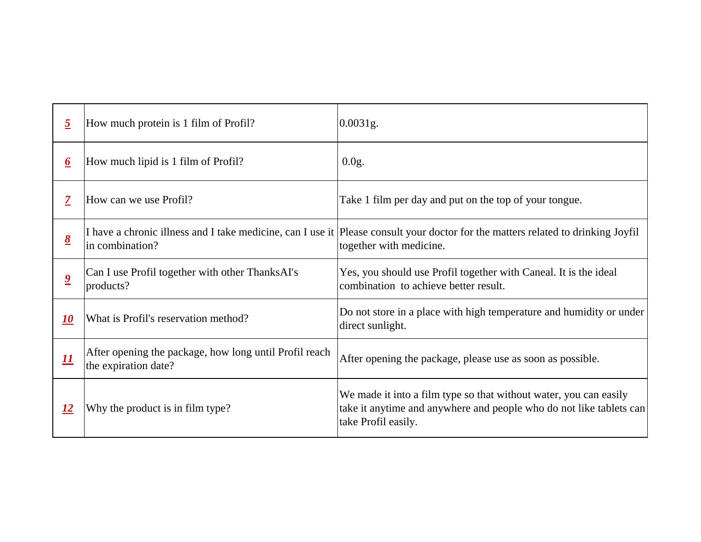| $\overline{2}$                       | How much protein is 1 film of Profil?                                                                                | 0.0031g.                                                                                              |
|--------------------------------------|----------------------------------------------------------------------------------------------------------------------|-------------------------------------------------------------------------------------------------------|
| $\overline{\mathbf{0}}$              | How much lipid is 1 film of Profil?                                                                                  | 0.0g.                                                                                                 |
| $\overline{Z}$                       | How can we use Profil?                                                                                               | Take 1 film per day and put on the top                                                                |
| $\underline{\underline{\mathbf{8}}}$ | I have a chronic illness and I take medicine, can I use it Please consult your doctor for the mat<br>in combination? | together with medicine.                                                                               |
| $\overline{\mathbf{2}}$              | Can I use Profil together with other ThanksAI's<br>products?                                                         | Yes, you should use Profil together w<br>combination to achieve better result.                        |
| <u>10</u>                            | What is Profil's reservation method?                                                                                 | Do not store in a place with high temp<br>direct sunlight.                                            |
|                                      | After opening the package, how long until Profil reach<br>the expiration date?                                       | After opening the package, please use                                                                 |
| <u>12</u>                            | Why the product is in film type?                                                                                     | We made it into a film type so that wi<br>take it anytime and anywhere and pec<br>take Profil easily. |

*<sup>1</sup>* top of your tongue.

natters related to drinking Joyfil

with Caneal. It is the ideal

mperature and humidity or under

the exploration date passible.

without water, you can easily beople who do not like tablets can